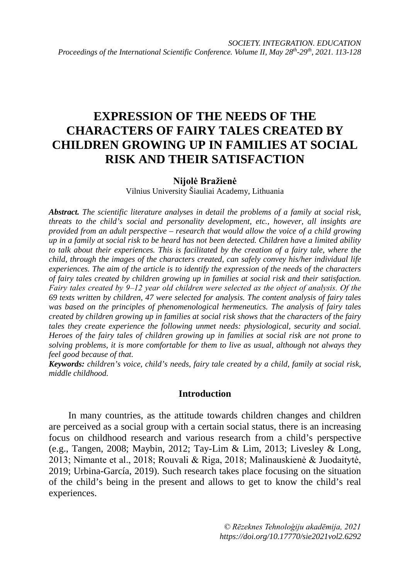# **EXPRESSION OF THE NEEDS OF THE CHARACTERS OF FAIRY TALES CREATED BY CHILDREN GROWING UP IN FAMILIES AT SOCIAL RISK AND THEIR SATISFACTION**

## **Nijolė Bražienė**

Vilnius University Šiauliai Academy, Lithuania

*Abstract. The scientific literature analyses in detail the problems of a family at social risk, threats to the child's social and personality development, etc., however, all insights are provided from an adult perspective – research that would allow the voice of a child growing up in a family at social risk to be heard has not been detected. Children have a limited ability to talk about their experiences. This is facilitated by the creation of a fairy tale, where the child, through the images of the characters created, can safely convey his/her individual life experiences. The aim of the article is to identify the expression of the needs of the characters of fairy tales created by children growing up in families at social risk and their satisfaction. Fairy tales created by 9‒12 year old children were selected as the object of analysis. Of the 69 texts written by children, 47 were selected for analysis. The content analysis of fairy tales was based on the principles of phenomenological hermeneutics. The analysis of fairy tales created by children growing up in families at social risk shows that the characters of the fairy tales they create experience the following unmet needs: physiological, security and social. Heroes of the fairy tales of children growing up in families at social risk are not prone to solving problems, it is more comfortable for them to live as usual, although not always they feel good because of that.*

*Keywords: children's voice, child's needs, fairy tale created by a child, family at social risk, middle childhood.*

## **Introduction**

In many countries, as the attitude towards children changes and children are perceived as a social group with a certain social status, there is an increasing focus on childhood research and various research from a child's perspective (e.g., Tangen, 2008; Maybin, 2012; Tay-Lim & Lim, 2013; Livesley & Long, 2013; Nimante et al., 2018; Rouvali & Riga, 2018; Malinauskienė & Juodaitytė, 2019; Urbina-García, 2019). Such research takes place focusing on the situation of the child's being in the present and allows to get to know the child's real experiences.

> *© Rēzeknes Tehnoloģiju akadēmija, 2021 https://doi.org/10.17770/sie2021vol2.6292*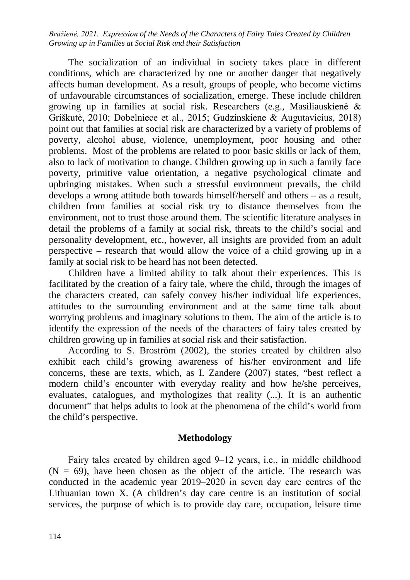The socialization of an individual in society takes place in different conditions, which are characterized by one or another danger that negatively affects human development. As a result, groups of people, who become victims of unfavourable circumstances of socialization, emerge. These include children growing up in families at social risk. Researchers (e.g., Masiliauskienė & Griškutė, 2010; Dobelniece et al., 2015; Gudzinskiene & Augutavicius, 2018) point out that families at social risk are characterized by a variety of problems of poverty, alcohol abuse, violence, unemployment, poor housing and other problems. Most of the problems are related to poor basic skills or lack of them, also to lack of motivation to change. Children growing up in such a family face poverty, primitive value orientation, a negative psychological climate and upbringing mistakes. When such a stressful environment prevails, the child develops a wrong attitude both towards himself/herself and others – as a result, children from families at social risk try to distance themselves from the environment, not to trust those around them. The scientific literature analyses in detail the problems of a family at social risk, threats to the child's social and personality development, etc., however, all insights are provided from an adult perspective – research that would allow the voice of a child growing up in a family at social risk to be heard has not been detected.

Children have a limited ability to talk about their experiences. This is facilitated by the creation of a fairy tale, where the child, through the images of the characters created, can safely convey his/her individual life experiences, attitudes to the surrounding environment and at the same time talk about worrying problems and imaginary solutions to them. The aim of the article is to identify the expression of the needs of the characters of fairy tales created by children growing up in families at social risk and their satisfaction.

According to S. Broström (2002), the stories created by children also exhibit each child's growing awareness of his/her environment and life concerns, these are texts, which, as I. Zandere (2007) states, "best reflect a modern child's encounter with everyday reality and how he/she perceives, evaluates, catalogues, and mythologizes that reality (...). It is an authentic document" that helps adults to look at the phenomena of the child's world from the child's perspective.

# **Methodology**

Fairy tales created by children aged 9–12 years, i.e., in middle childhood  $(N = 69)$ , have been chosen as the object of the article. The research was conducted in the academic year 2019–2020 in seven day care centres of the Lithuanian town X. (A children's day care centre is an institution of social services, the purpose of which is to provide day care, occupation, leisure time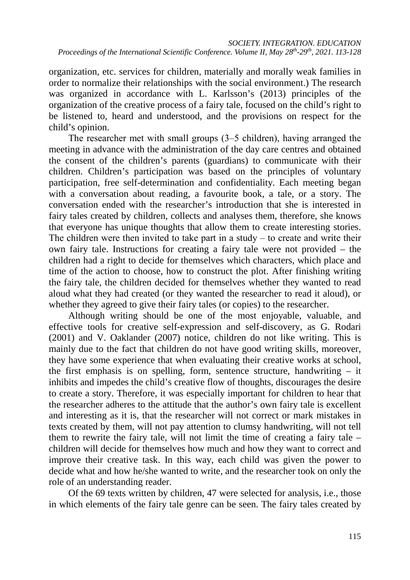organization, etc. services for children, materially and morally weak families in order to normalize their relationships with the social environment.) The research was organized in accordance with L. Karlsson's (2013) principles of the organization of the creative process of a fairy tale, focused on the child's right to be listened to, heard and understood, and the provisions on respect for the child's opinion.

The researcher met with small groups (3‒5 children), having arranged the meeting in advance with the administration of the day care centres and obtained the consent of the children's parents (guardians) to communicate with their children. Children's participation was based on the principles of voluntary participation, free self-determination and confidentiality. Each meeting began with a conversation about reading, a favourite book, a tale, or a story. The conversation ended with the researcher's introduction that she is interested in fairy tales created by children, collects and analyses them, therefore, she knows that everyone has unique thoughts that allow them to create interesting stories. The children were then invited to take part in a study  $-$  to create and write their own fairy tale. Instructions for creating a fairy tale were not provided – the children had a right to decide for themselves which characters, which place and time of the action to choose, how to construct the plot. After finishing writing the fairy tale, the children decided for themselves whether they wanted to read aloud what they had created (or they wanted the researcher to read it aloud), or whether they agreed to give their fairy tales (or copies) to the researcher.

Although writing should be one of the most enjoyable, valuable, and effective tools for creative self-expression and self-discovery, as G. Rodari (2001) and V. Oaklander (2007) notice, children do not like writing. This is mainly due to the fact that children do not have good writing skills, moreover, they have some experience that when evaluating their creative works at school, the first emphasis is on spelling, form, sentence structure, handwriting – it inhibits and impedes the child's creative flow of thoughts, discourages the desire to create a story. Therefore, it was especially important for children to hear that the researcher adheres to the attitude that the author's own fairy tale is excellent and interesting as it is, that the researcher will not correct or mark mistakes in texts created by them, will not pay attention to clumsy handwriting, will not tell them to rewrite the fairy tale, will not limit the time of creating a fairy tale – children will decide for themselves how much and how they want to correct and improve their creative task. In this way, each child was given the power to decide what and how he/she wanted to write, and the researcher took on only the role of an understanding reader.

Of the 69 texts written by children, 47 were selected for analysis, i.e., those in which elements of the fairy tale genre can be seen. The fairy tales created by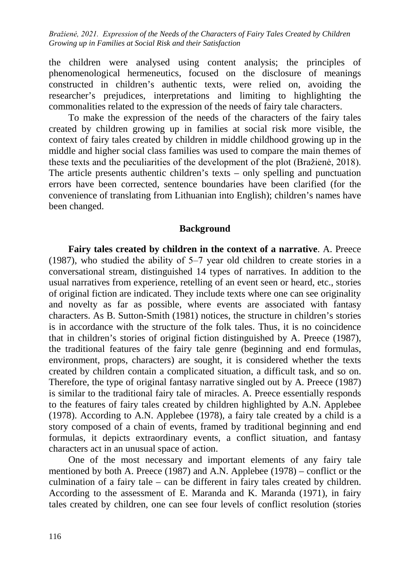the children were analysed using content analysis; the principles of phenomenological hermeneutics, focused on the disclosure of meanings constructed in children's authentic texts, were relied on, avoiding the researcher's prejudices, interpretations and limiting to highlighting the commonalities related to the expression of the needs of fairy tale characters.

To make the expression of the needs of the characters of the fairy tales created by children growing up in families at social risk more visible, the context of fairy tales created by children in middle childhood growing up in the middle and higher social class families was used to compare the main themes of these texts and the peculiarities of the development of the plot (Bražienė, 2018). The article presents authentic children's texts – only spelling and punctuation errors have been corrected, sentence boundaries have been clarified (for the convenience of translating from Lithuanian into English); children's names have been changed.

## **Background**

**Fairy tales created by children in the context of a narrative**. A. Preece (1987), who studied the ability of  $5-7$  year old children to create stories in a conversational stream, distinguished 14 types of narratives. In addition to the usual narratives from experience, retelling of an event seen or heard, etc., stories of original fiction are indicated. They include texts where one can see originality and novelty as far as possible, where events are associated with fantasy characters. As B. Sutton-Smith (1981) notices, the structure in children's stories is in accordance with the structure of the folk tales. Thus, it is no coincidence that in children's stories of original fiction distinguished by A. Preece (1987), the traditional features of the fairy tale genre (beginning and end formulas, environment, props, characters) are sought, it is considered whether the texts created by children contain a complicated situation, a difficult task, and so on. Therefore, the type of original fantasy narrative singled out by A. Preece (1987) is similar to the traditional fairy tale of miracles. A. Preece essentially responds to the features of fairy tales created by children highlighted by A.N. Applebee (1978). According to A.N. Applebee (1978), a fairy tale created by a child is a story composed of a chain of events, framed by traditional beginning and end formulas, it depicts extraordinary events, a conflict situation, and fantasy characters act in an unusual space of action.

One of the most necessary and important elements of any fairy tale mentioned by both A. Preece (1987) and A.N. Applebee (1978) – conflict or the culmination of a fairy tale – can be different in fairy tales created by children. According to the assessment of E. Maranda and K. Maranda (1971), in fairy tales created by children, one can see four levels of conflict resolution (stories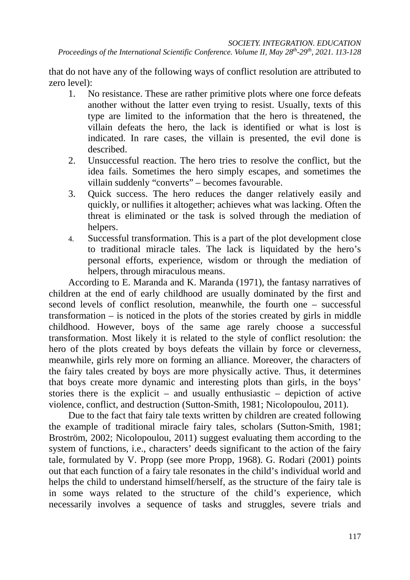that do not have any of the following ways of conflict resolution are attributed to zero level):

- 1. No resistance. These are rather primitive plots where one force defeats another without the latter even trying to resist. Usually, texts of this type are limited to the information that the hero is threatened, the villain defeats the hero, the lack is identified or what is lost is indicated. In rare cases, the villain is presented, the evil done is described.
- 2. Unsuccessful reaction. The hero tries to resolve the conflict, but the idea fails. Sometimes the hero simply escapes, and sometimes the villain suddenly "converts" – becomes favourable.
- 3. Quick success. The hero reduces the danger relatively easily and quickly, or nullifies it altogether; achieves what was lacking. Often the threat is eliminated or the task is solved through the mediation of helpers.
- 4. Successful transformation. This is a part of the plot development close to traditional miracle tales. The lack is liquidated by the hero's personal efforts, experience, wisdom or through the mediation of helpers, through miraculous means.

According to E. Maranda and K. Maranda (1971), the fantasy narratives of children at the end of early childhood are usually dominated by the first and second levels of conflict resolution, meanwhile, the fourth one – successful transformation – is noticed in the plots of the stories created by girls in middle childhood. However, boys of the same age rarely choose a successful transformation. Most likely it is related to the style of conflict resolution: the hero of the plots created by boys defeats the villain by force or cleverness, meanwhile, girls rely more on forming an alliance. Moreover, the characters of the fairy tales created by boys are more physically active. Thus, it determines that boys create more dynamic and interesting plots than girls, in the boys' stories there is the explicit – and usually enthusiastic – depiction of active violence, conflict, and destruction (Sutton-Smith, 1981; Nicolopoulou, 2011).

Due to the fact that fairy tale texts written by children are created following the example of traditional miracle fairy tales, scholars (Sutton-Smith, 1981; Broström, 2002; Nicolopoulou, 2011) suggest evaluating them according to the system of functions, i.e., characters' deeds significant to the action of the fairy tale, formulated by V. Propp (see more Propp, 1968). G. Rodari (2001) points out that each function of a fairy tale resonates in the child's individual world and helps the child to understand himself/herself, as the structure of the fairy tale is in some ways related to the structure of the child's experience, which necessarily involves a sequence of tasks and struggles, severe trials and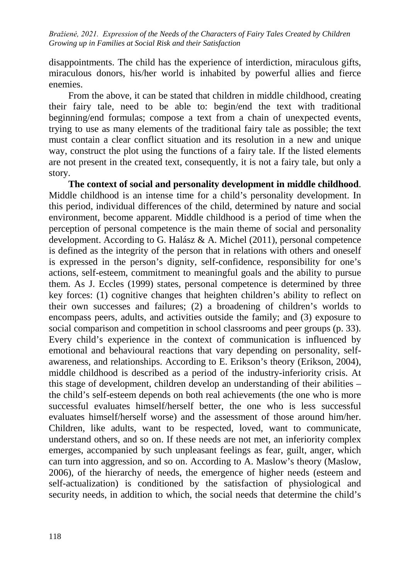disappointments. The child has the experience of interdiction, miraculous gifts, miraculous donors, his/her world is inhabited by powerful allies and fierce enemies.

From the above, it can be stated that children in middle childhood, creating their fairy tale, need to be able to: begin/end the text with traditional beginning/end formulas; compose a text from a chain of unexpected events, trying to use as many elements of the traditional fairy tale as possible; the text must contain a clear conflict situation and its resolution in a new and unique way, construct the plot using the functions of a fairy tale. If the listed elements are not present in the created text, consequently, it is not a fairy tale, but only a story.

**The context of social and personality development in middle childhood**. Middle childhood is an intense time for a child's personality development. In this period, individual differences of the child, determined by nature and social environment, become apparent. Middle childhood is a period of time when the perception of personal competence is the main theme of social and personality development. According to G. Halász & A. Michel (2011), personal competence is defined as the integrity of the person that in relations with others and oneself is expressed in the person's dignity, self-confidence, responsibility for one's actions, self-esteem, commitment to meaningful goals and the ability to pursue them. As J. Eccles (1999) states, personal competence is determined by three key forces: (1) cognitive changes that heighten children's ability to reflect on their own successes and failures; (2) a broadening of children's worlds to encompass peers, adults, and activities outside the family; and (3) exposure to social comparison and competition in school classrooms and peer groups (p. 33). Every child's experience in the context of communication is influenced by emotional and behavioural reactions that vary depending on personality, selfawareness, and relationships. According to E. Erikson's theory (Erikson, 2004), middle childhood is described as a period of the industry-inferiority crisis. At this stage of development, children develop an understanding of their abilities – the child's self-esteem depends on both real achievements (the one who is more successful evaluates himself/herself better, the one who is less successful evaluates himself/herself worse) and the assessment of those around him/her. Children, like adults, want to be respected, loved, want to communicate, understand others, and so on. If these needs are not met, an inferiority complex emerges, accompanied by such unpleasant feelings as fear, guilt, anger, which can turn into aggression, and so on. According to A. Maslow's theory (Maslow, 2006), of the hierarchy of needs, the emergence of higher needs (esteem and self-actualization) is conditioned by the satisfaction of physiological and security needs, in addition to which, the social needs that determine the child's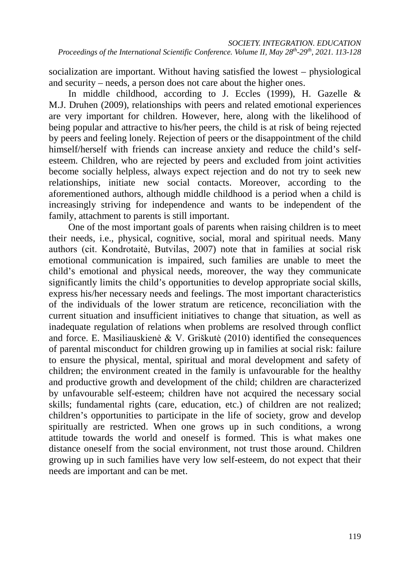socialization are important. Without having satisfied the lowest – physiological and security – needs, a person does not care about the higher ones.

In middle childhood, according to J. Eccles (1999), H. Gazelle & M.J. Druhen (2009), relationships with peers and related emotional experiences are very important for children. However, here, along with the likelihood of being popular and attractive to his/her peers, the child is at risk of being rejected by peers and feeling lonely. Rejection of peers or the disappointment of the child himself/herself with friends can increase anxiety and reduce the child's selfesteem. Children, who are rejected by peers and excluded from joint activities become socially helpless, always expect rejection and do not try to seek new relationships, initiate new social contacts. Moreover, according to the aforementioned authors, although middle childhood is a period when a child is increasingly striving for independence and wants to be independent of the family, attachment to parents is still important.

One of the most important goals of parents when raising children is to meet their needs, i.e., physical, cognitive, social, moral and spiritual needs. Many authors (cit. Kondrotaitė, Butvilas, 2007) note that in families at social risk emotional communication is impaired, such families are unable to meet the child's emotional and physical needs, moreover, the way they communicate significantly limits the child's opportunities to develop appropriate social skills, express his/her necessary needs and feelings. The most important characteristics of the individuals of the lower stratum are reticence, reconciliation with the current situation and insufficient initiatives to change that situation, as well as inadequate regulation of relations when problems are resolved through conflict and force. E. Masiliauskienė & V. Griškutė (2010) identified the consequences of parental misconduct for children growing up in families at social risk: failure to ensure the physical, mental, spiritual and moral development and safety of children; the environment created in the family is unfavourable for the healthy and productive growth and development of the child; children are characterized by unfavourable self-esteem; children have not acquired the necessary social skills; fundamental rights (care, education, etc.) of children are not realized; children's opportunities to participate in the life of society, grow and develop spiritually are restricted. When one grows up in such conditions, a wrong attitude towards the world and oneself is formed. This is what makes one distance oneself from the social environment, not trust those around. Children growing up in such families have very low self-esteem, do not expect that their needs are important and can be met.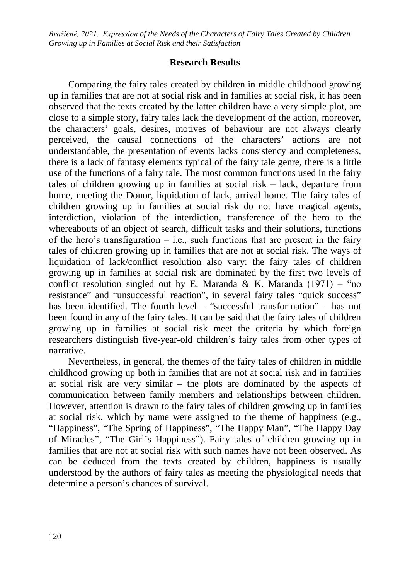# **Research Results**

Comparing the fairy tales created by children in middle childhood growing up in families that are not at social risk and in families at social risk, it has been observed that the texts created by the latter children have a very simple plot, are close to a simple story, fairy tales lack the development of the action, moreover, the characters' goals, desires, motives of behaviour are not always clearly perceived, the causal connections of the characters' actions are not understandable, the presentation of events lacks consistency and completeness, there is a lack of fantasy elements typical of the fairy tale genre, there is a little use of the functions of a fairy tale. The most common functions used in the fairy tales of children growing up in families at social risk – lack, departure from home, meeting the Donor, liquidation of lack, arrival home. The fairy tales of children growing up in families at social risk do not have magical agents, interdiction, violation of the interdiction, transference of the hero to the whereabouts of an object of search, difficult tasks and their solutions, functions of the hero's transfiguration  $-$  i.e., such functions that are present in the fairy tales of children growing up in families that are not at social risk. The ways of liquidation of lack/conflict resolution also vary: the fairy tales of children growing up in families at social risk are dominated by the first two levels of conflict resolution singled out by E. Maranda & K. Maranda  $(1971) -$  "no resistance" and "unsuccessful reaction", in several fairy tales "quick success" has been identified. The fourth level – "successful transformation" – has not been found in any of the fairy tales. It can be said that the fairy tales of children growing up in families at social risk meet the criteria by which foreign researchers distinguish five-year-old children's fairy tales from other types of narrative.

Nevertheless, in general, the themes of the fairy tales of children in middle childhood growing up both in families that are not at social risk and in families at social risk are very similar – the plots are dominated by the aspects of communication between family members and relationships between children. However, attention is drawn to the fairy tales of children growing up in families at social risk, which by name were assigned to the theme of happiness (e.g., "Happiness", "The Spring of Happiness", "The Happy Man", "The Happy Day of Miracles", "The Girl's Happiness"). Fairy tales of children growing up in families that are not at social risk with such names have not been observed. As can be deduced from the texts created by children, happiness is usually understood by the authors of fairy tales as meeting the physiological needs that determine a person's chances of survival.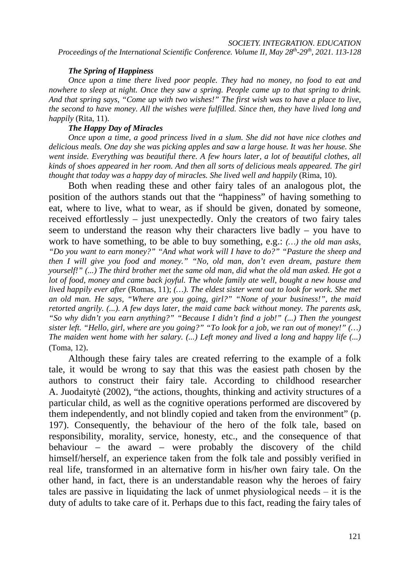*Proceedings of the International Scientific Conference. Volume II, May 28th-29th, 2021. 113-128*

#### *The Spring of Happiness*

*Once upon a time there lived poor people. They had no money, no food to eat and nowhere to sleep at night. Once they saw a spring. People came up to that spring to drink. And that spring says, "Come up with two wishes!" The first wish was to have a place to live, the second to have money. All the wishes were fulfilled. Since then, they have lived long and happily* (Rita, 11).

## *The Happy Day of Miracles*

*Once upon a time, a good princess lived in a slum. She did not have nice clothes and delicious meals. One day she was picking apples and saw a large house. It was her house. She went inside. Everything was beautiful there. A few hours later, a lot of beautiful clothes, all kinds of shoes appeared in her room. And then all sorts of delicious meals appeared. The girl thought that today was a happy day of miracles. She lived well and happily* (Rima, 10).

Both when reading these and other fairy tales of an analogous plot, the position of the authors stands out that the "happiness" of having something to eat, where to live, what to wear, as if should be given, donated by someone, received effortlessly – just unexpectedly. Only the creators of two fairy tales seem to understand the reason why their characters live badly – you have to work to have something, to be able to buy something, e.g.: *(…) the old man asks, "Do you want to earn money?" "And what work will I have to do?" "Pasture the sheep and then I will give you food and money." "No, old man, don't even dream, pasture them yourself!" (...) The third brother met the same old man, did what the old man asked. He got a lot of food, money and came back joyful. The whole family ate well, bought a new house and lived happily ever after* (Romas, 11); *(…). The eldest sister went out to look for work. She met an old man. He says, "Where are you going, girl?" "None of your business!", the maid retorted angrily. (...). A few days later, the maid came back without money. The parents ask, "So why didn't you earn anything?" "Because I didn't find a job!" (...) Then the youngest sister left. "Hello, girl, where are you going?" "To look for a job, we ran out of money!" (…) The maiden went home with her salary. (...) Left money and lived a long and happy life (...)* (Toma, 12).

Although these fairy tales are created referring to the example of a folk tale, it would be wrong to say that this was the easiest path chosen by the authors to construct their fairy tale. According to childhood researcher A. Juodaitytė (2002), "the actions, thoughts, thinking and activity structures of a particular child, as well as the cognitive operations performed are discovered by them independently, and not blindly copied and taken from the environment" (p. 197). Consequently, the behaviour of the hero of the folk tale, based on responsibility, morality, service, honesty, etc., and the consequence of that behaviour – the award – were probably the discovery of the child himself/herself, an experience taken from the folk tale and possibly verified in real life, transformed in an alternative form in his/her own fairy tale. On the other hand, in fact, there is an understandable reason why the heroes of fairy tales are passive in liquidating the lack of unmet physiological needs  $-$  it is the duty of adults to take care of it. Perhaps due to this fact, reading the fairy tales of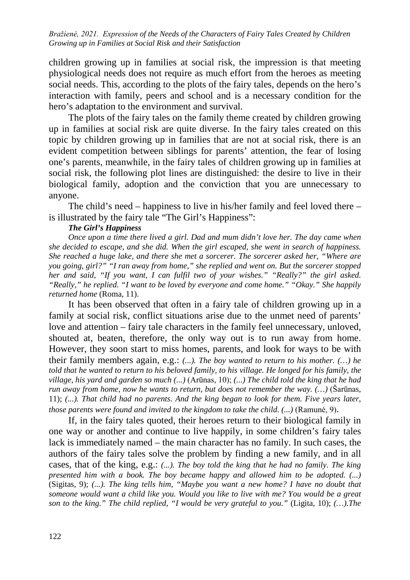children growing up in families at social risk, the impression is that meeting physiological needs does not require as much effort from the heroes as meeting social needs. This, according to the plots of the fairy tales, depends on the hero's interaction with family, peers and school and is a necessary condition for the hero's adaptation to the environment and survival.

The plots of the fairy tales on the family theme created by children growing up in families at social risk are quite diverse. In the fairy tales created on this topic by children growing up in families that are not at social risk, there is an evident competition between siblings for parents' attention, the fear of losing one's parents, meanwhile, in the fairy tales of children growing up in families at social risk, the following plot lines are distinguished: the desire to live in their biological family, adoption and the conviction that you are unnecessary to anyone.

The child's need – happiness to live in his/her family and feel loved there – is illustrated by the fairy tale "The Girl's Happiness":

## *The Girl's Happiness*

*Once upon a time there lived a girl. Dad and mum didn't love her. The day came when she decided to escape, and she did. When the girl escaped, she went in search of happiness. She reached a huge lake, and there she met a sorcerer. The sorcerer asked her, "Where are you going, girl?" "I ran away from home," she replied and went on. But the sorcerer stopped her and said, "If you want, I can fulfil two of your wishes." "Really?" the girl asked. "Really," he replied. "I want to be loved by everyone and come home." "Okay." She happily returned home* (Roma, 11).

It has been observed that often in a fairy tale of children growing up in a family at social risk, conflict situations arise due to the unmet need of parents' love and attention – fairy tale characters in the family feel unnecessary, unloved, shouted at, beaten, therefore, the only way out is to run away from home. However, they soon start to miss homes, parents, and look for ways to be with their family members again, e.g.: *(...). The boy wanted to return to his mother. (…) he told that he wanted to return to his beloved family, to his village. He longed for his family, the village, his yard and garden so much (...)* (Arūnas, 10); *(...) The child told the king that he had run away from home, now he wants to return, but does not remember the way. (…)* (Šarūnas, 11); *(...). That child had no parents. And the king began to look for them. Five years later, those parents were found and invited to the kingdom to take the child. (...)* (Ramunė, 9).

If, in the fairy tales quoted, their heroes return to their biological family in one way or another and continue to live happily, in some children's fairy tales lack is immediately named – the main character has no family. In such cases, the authors of the fairy tales solve the problem by finding a new family, and in all cases, that of the king, e.g.: *(...). The boy told the king that he had no family. The king presented him with a book. The boy became happy and allowed him to be adopted. (...)* (Sigitas, 9); *(...). The king tells him, "Maybe you want a new home? I have no doubt that someone would want a child like you. Would you like to live with me? You would be a great son to the king." The child replied, "I would be very grateful to you."* (Ligita, 10); *(…).The*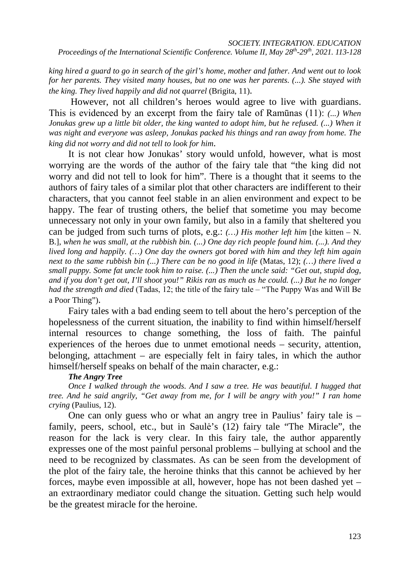#### *SOCIETY. INTEGRATION. EDUCATION*

*Proceedings of the International Scientific Conference. Volume II, May 28th-29th, 2021. 113-128*

*king hired a guard to go in search of the girl's home, mother and father. And went out to look for her parents. They visited many houses, but no one was her parents. (...). She stayed with the king. They lived happily and did not quarrel* (Brigita, 11).

However, not all children's heroes would agree to live with guardians. This is evidenced by an excerpt from the fairy tale of Ramūnas (11): *(...) When Jonukas grew up a little bit older, the king wanted to adopt him, but he refused. (...) When it was night and everyone was asleep, Jonukas packed his things and ran away from home. The king did not worry and did not tell to look for him*.

It is not clear how Jonukas' story would unfold, however, what is most worrying are the words of the author of the fairy tale that "the king did not worry and did not tell to look for him". There is a thought that it seems to the authors of fairy tales of a similar plot that other characters are indifferent to their characters, that you cannot feel stable in an alien environment and expect to be happy. The fear of trusting others, the belief that sometime you may become unnecessary not only in your own family, but also in a family that sheltered you can be judged from such turns of plots, e.g.: *(…) His mother left him* [the kitten – N. B.], *when he was small, at the rubbish bin. (...) One day rich people found him. (...). And they lived long and happily. (…) One day the owners got bored with him and they left him again next to the same rubbish bin (...) There can be no good in life* (Matas, 12); *(…) there lived a small puppy. Some fat uncle took him to raise. (...) Then the uncle said: "Get out, stupid dog, and if you don't get out, I'll shoot you!" Rikis ran as much as he could. (...) But he no longer had the strength and died* (Tadas, 12; the title of the fairy tale – "The Puppy Was and Will Be a Poor Thing").

Fairy tales with a bad ending seem to tell about the hero's perception of the hopelessness of the current situation, the inability to find within himself/herself internal resources to change something, the loss of faith. The painful experiences of the heroes due to unmet emotional needs – security, attention, belonging, attachment – are especially felt in fairy tales, in which the author himself/herself speaks on behalf of the main character, e.g.:

## *The Angry Tree*

*Once I walked through the woods. And I saw a tree. He was beautiful. I hugged that tree. And he said angrily, "Get away from me, for I will be angry with you!" I ran home crying* (Paulius, 12).

One can only guess who or what an angry tree in Paulius' fairy tale is – family, peers, school, etc., but in Saulė's (12) fairy tale "The Miracle", the reason for the lack is very clear. In this fairy tale, the author apparently expresses one of the most painful personal problems – bullying at school and the need to be recognized by classmates. As can be seen from the development of the plot of the fairy tale, the heroine thinks that this cannot be achieved by her forces, maybe even impossible at all, however, hope has not been dashed yet – an extraordinary mediator could change the situation. Getting such help would be the greatest miracle for the heroine.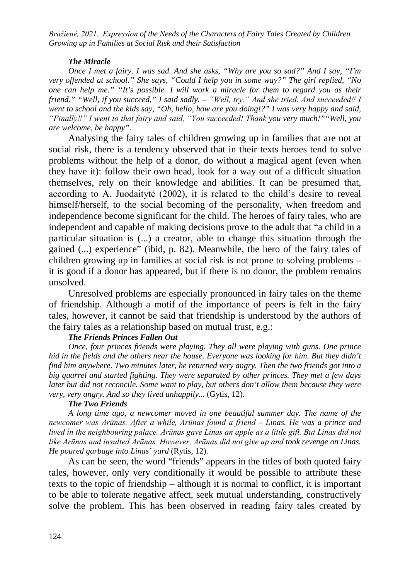## *The Miracle*

*Once I met a fairy. I was sad. And she asks, "Why are you so sad?" And I say, "I'm very offended at school." She says, "Could I help you in some way?" The girl replied, "No one can help me." "It's possible. I will work a miracle for them to regard you as their friend." "Well, if you succeed," I said sadly. – "Well, try." And she tried. And succeeded‼ I went to school and the kids say, "Oh, hello, how are you doing!?" I was very happy and said, "Finally‼" I went to that fairy and said, "You succeeded! Thank you very much!""Well, you are welcome, be happy".*

Analysing the fairy tales of children growing up in families that are not at social risk, there is a tendency observed that in their texts heroes tend to solve problems without the help of a donor, do without a magical agent (even when they have it): follow their own head, look for a way out of a difficult situation themselves, rely on their knowledge and abilities. It can be presumed that, according to A. Juodaitytė (2002), it is related to the child's desire to reveal himself/herself, to the social becoming of the personality, when freedom and independence become significant for the child. The heroes of fairy tales, who are independent and capable of making decisions prove to the adult that "a child in a particular situation is (...) a creator, able to change this situation through the gained (...) experience" (ibid, p. 82). Meanwhile, the hero of the fairy tales of children growing up in families at social risk is not prone to solving problems – it is good if a donor has appeared, but if there is no donor, the problem remains unsolved.

Unresolved problems are especially pronounced in fairy tales on the theme of friendship. Although a motif of the importance of peers is felt in the fairy tales, however, it cannot be said that friendship is understood by the authors of the fairy tales as a relationship based on mutual trust, e.g.:

## *The Friends Princes Fallen Out*

*Once, four princes friends were playing. They all were playing with guns. One prince hid in the fields and the others near the house. Everyone was looking for him. But they didn't find him anywhere. Two minutes later, he returned very angry. Then the two friends got into a big quarrel and started fighting. They were separated by other princes. They met a few days later but did not reconcile. Some want to play, but others don't allow them because they were very, very angry. And so they lived unhappily...* (Gytis, 12).

## *The Two Friends*

*A long time ago, a newcomer moved in one beautiful summer day. The name of the newcomer was Arūnas. After a while, Arūnas found a friend – Linas. He was a prince and lived in the neighbouring palace. Arūnas gave Linas an apple as a little gift. But Linas did not like Arūnas and insulted Arūnas. However, Arūnas did not give up and took revenge on Linas. He poured garbage into Linas' yard* (Rytis, 12).

As can be seen, the word "friends" appears in the titles of both quoted fairy tales, however, only very conditionally it would be possible to attribute these texts to the topic of friendship – although it is normal to conflict, it is important to be able to tolerate negative affect, seek mutual understanding, constructively solve the problem. This has been observed in reading fairy tales created by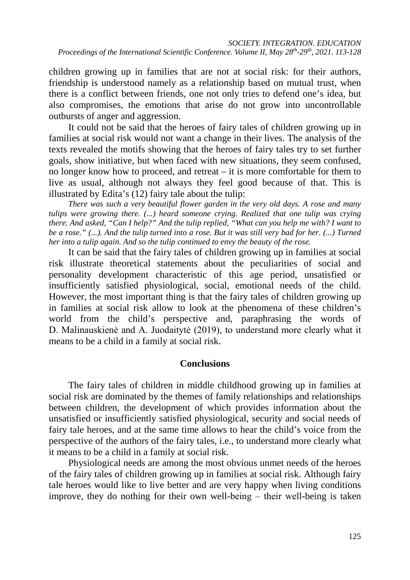children growing up in families that are not at social risk: for their authors, friendship is understood namely as a relationship based on mutual trust, when there is a conflict between friends, one not only tries to defend one's idea, but also compromises, the emotions that arise do not grow into uncontrollable outbursts of anger and aggression.

It could not be said that the heroes of fairy tales of children growing up in families at social risk would not want a change in their lives. The analysis of the texts revealed the motifs showing that the heroes of fairy tales try to set further goals, show initiative, but when faced with new situations, they seem confused, no longer know how to proceed, and retreat – it is more comfortable for them to live as usual, although not always they feel good because of that. This is illustrated by Edita's (12) fairy tale about the tulip:

*There was such a very beautiful flower garden in the very old days. A rose and many tulips were growing there. (...) heard someone crying. Realized that one tulip was crying there. And asked, "Can I help?" And the tulip replied, "What can you help me with? I want to be a rose." (...). And the tulip turned into a rose. But it was still very bad for her. (...) Turned her into a tulip again. And so the tulip continued to envy the beauty of the rose.*

It can be said that the fairy tales of children growing up in families at social risk illustrate theoretical statements about the peculiarities of social and personality development characteristic of this age period, unsatisfied or insufficiently satisfied physiological, social, emotional needs of the child. However, the most important thing is that the fairy tales of children growing up in families at social risk allow to look at the phenomena of these children's world from the child's perspective and, paraphrasing the words of D. Malinauskienė and A. Juodaitytė (2019), to understand more clearly what it means to be a child in a family at social risk.

# **Conclusions**

The fairy tales of children in middle childhood growing up in families at social risk are dominated by the themes of family relationships and relationships between children, the development of which provides information about the unsatisfied or insufficiently satisfied physiological, security and social needs of fairy tale heroes, and at the same time allows to hear the child's voice from the perspective of the authors of the fairy tales, i.e., to understand more clearly what it means to be a child in a family at social risk.

Physiological needs are among the most obvious unmet needs of the heroes of the fairy tales of children growing up in families at social risk. Although fairy tale heroes would like to live better and are very happy when living conditions improve, they do nothing for their own well-being  $-$  their well-being is taken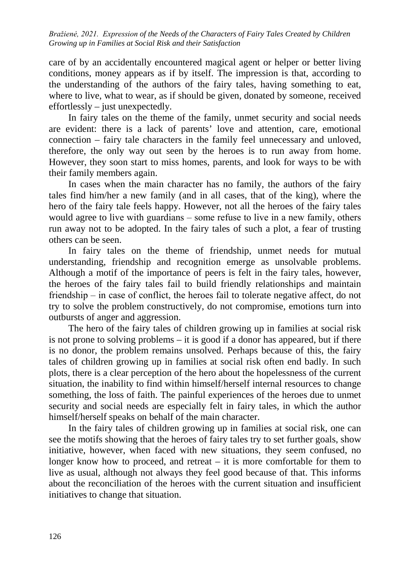care of by an accidentally encountered magical agent or helper or better living conditions, money appears as if by itself. The impression is that, according to the understanding of the authors of the fairy tales, having something to eat, where to live, what to wear, as if should be given, donated by someone, received effortlessly – just unexpectedly.

In fairy tales on the theme of the family, unmet security and social needs are evident: there is a lack of parents' love and attention, care, emotional connection – fairy tale characters in the family feel unnecessary and unloved, therefore, the only way out seen by the heroes is to run away from home. However, they soon start to miss homes, parents, and look for ways to be with their family members again.

In cases when the main character has no family, the authors of the fairy tales find him/her a new family (and in all cases, that of the king), where the hero of the fairy tale feels happy. However, not all the heroes of the fairy tales would agree to live with guardians – some refuse to live in a new family, others run away not to be adopted. In the fairy tales of such a plot, a fear of trusting others can be seen.

In fairy tales on the theme of friendship, unmet needs for mutual understanding, friendship and recognition emerge as unsolvable problems. Although a motif of the importance of peers is felt in the fairy tales, however, the heroes of the fairy tales fail to build friendly relationships and maintain friendship – in case of conflict, the heroes fail to tolerate negative affect, do not try to solve the problem constructively, do not compromise, emotions turn into outbursts of anger and aggression.

The hero of the fairy tales of children growing up in families at social risk is not prone to solving problems – it is good if a donor has appeared, but if there is no donor, the problem remains unsolved. Perhaps because of this, the fairy tales of children growing up in families at social risk often end badly. In such plots, there is a clear perception of the hero about the hopelessness of the current situation, the inability to find within himself/herself internal resources to change something, the loss of faith. The painful experiences of the heroes due to unmet security and social needs are especially felt in fairy tales, in which the author himself/herself speaks on behalf of the main character.

In the fairy tales of children growing up in families at social risk, one can see the motifs showing that the heroes of fairy tales try to set further goals, show initiative, however, when faced with new situations, they seem confused, no longer know how to proceed, and retreat – it is more comfortable for them to live as usual, although not always they feel good because of that. This informs about the reconciliation of the heroes with the current situation and insufficient initiatives to change that situation.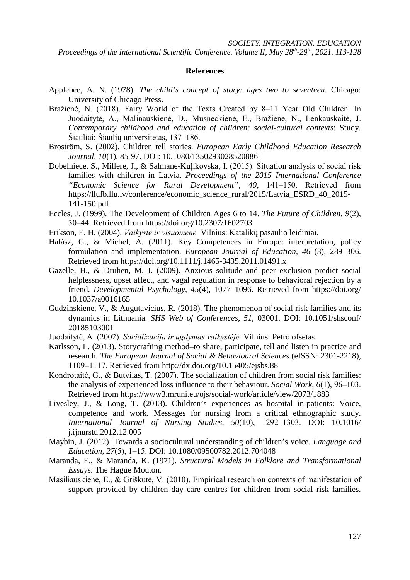*Proceedings of the International Scientific Conference. Volume II, May 28th-29th, 2021. 113-128*

#### **References**

- Applebee, A. N. (1978). *The child's concept of story: ages two to seventeen*. Chicago: University of Chicago Press.
- Bražienė, N. (2018). Fairy World of the Texts Created by 8-11 Year Old Children. In Juodaitytė, A., Malinauskienė, D., Musneckienė, E., Bražienė, N., Lenkauskaitė, J. *Contemporary childhood and education of children: social-cultural contexts*: Study. Šiauliai: Šiaulių universitetas, 137–186.
- Broström, S. (2002). Children tell stories. *European Early Childhood Education Research Journal*, *10*(1), 85-97. [DOI: 10.1080/13502930285208861](https://www.researchgate.net/publication/233154833_Children_tell_stories)
- Dobelniece, S., Millere, J., & Salmane-Kuļikovska, I. (2015). Situation analysis of social risk families with children in Latvia. *Proceedings of the 2015 International Conference "Economic Science for Rural Development"*, *40*, 141‒150. Retrieved from [https://llufb.llu.lv/conference/economic\\_science\\_rural/2015/Latvia\\_ESRD\\_40\\_2015-](https://llufb.llu.lv/conference/economic_science_rural/2015/Latvia_ESRD_40_2015-141-150.pdf) [141-150.pdf](https://llufb.llu.lv/conference/economic_science_rural/2015/Latvia_ESRD_40_2015-141-150.pdf)
- Eccles, J. (1999). The Development of Children Ages 6 to 14. *The Future of Children*, *9*(2), 30‒44. Retrieved from<https://doi.org/10.2307/1602703>
- Erikson, E. H. (2004). *Vaikystė ir visuomenė.* Vilnius: Katalikų pasaulio leidiniai.
- Halász, G., & Michel, A. (2011). Key Competences in Europe: interpretation, policy formulation and implementation. *European Journal of Education*, *46* (3), 289–306. Retrieved from<https://doi.org/10.1111/j.1465-3435.2011.01491.x>
- Gazelle, H., & Druhen, M. J. (2009). Anxious solitude and peer exclusion predict social helplessness, upset affect, and vagal regulation in response to behavioral rejection by a friend. *Developmental Psychology*, *45*(4), 1077–1096. Retrieved from [https://doi.org/](https://doi.org/10.1037/a0016165) [10.1037/a0016165](https://doi.org/10.1037/a0016165)
- Gudzinskiene, V., & Augutavicius, R. (2018). The phenomenon of social risk families and its dynamics in Lithuania. *SHS Web of Conferences, 51*, 03001. [DOI: 10.1051/shsconf/](https://www.researchgate.net/publication/328785184_The_phenomenon_of_social_risk_families_and_its_dynamics_in_Lithuania) [20185103001](https://www.researchgate.net/publication/328785184_The_phenomenon_of_social_risk_families_and_its_dynamics_in_Lithuania)
- Juodaitytė, A. (2002). *Socializacija ir ugdymas vaikystėje.* Vilnius: Petro ofsetas.
- Karlsson, L. (2013). Storycrafting method–to share, participate, tell and listen in practice and research. *The European Journal of Social & Behavioural Sciences* (eISSN: 2301-2218), 1109‒1117. Retrieved from [http://dx.doi.org/10.15405/ejsbs.88](http://dx.doi.org/10.15405/ejsbs.8)
- Kondrotaitė, G., & Butvilas, T. (2007). The socialization of children from social risk families: the analysis of experienced loss influence to their behaviour. *Social Work*,  $6(1)$ ,  $96-103$ . Retrieved from<https://www3.mruni.eu/ojs/social-work/article/view/2073/1883>
- Livesley, J., & Long, T. (2013). Children's experiences as hospital in-patients: Voice, competence and work. Messages for nursing from a critical ethnographic study. *International Journal of Nursing Studies*, *50*(10), 1292‒1303. [DOI: 10.1016/](https://pubmed.ncbi.nlm.nih.gov/23332686/) [j.ijnurstu.2012.12.005](https://pubmed.ncbi.nlm.nih.gov/23332686/)
- Maybin, J. (2012). Towards a sociocultural understanding of children's voice. *Language and Education*, *27*(5), 1‒15. [DOI: 10.1080/09500782.2012.704048](http://oro.open.ac.uk/33905/)
- Maranda, E., & Maranda, K. (1971). *Structural Models in Folklore and Transformational Essays*. The Hague Mouton.
- Masiliauskienė, E., & Griškutė, V. (2010). Empirical research on contexts of manifestation of support provided by children day care centres for children from social risk families.